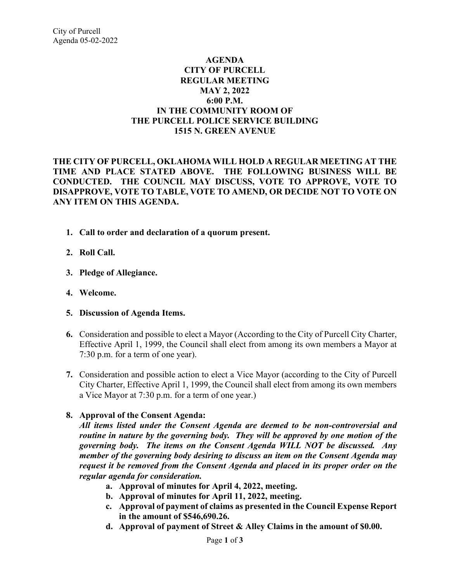## **AGENDA CITY OF PURCELL REGULAR MEETING MAY 2, 2022 6:00 P.M. IN THE COMMUNITY ROOM OF THE PURCELL POLICE SERVICE BUILDING 1515 N. GREEN AVENUE**

**THE CITY OF PURCELL, OKLAHOMA WILL HOLD A REGULAR MEETING AT THE TIME AND PLACE STATED ABOVE. THE FOLLOWING BUSINESS WILL BE CONDUCTED. THE COUNCIL MAY DISCUSS, VOTE TO APPROVE, VOTE TO DISAPPROVE, VOTE TO TABLE, VOTE TO AMEND, OR DECIDE NOT TO VOTE ON ANY ITEM ON THIS AGENDA.** 

- **1. Call to order and declaration of a quorum present.**
- **2. Roll Call.**
- **3. Pledge of Allegiance.**
- **4. Welcome.**
- **5. Discussion of Agenda Items.**
- **6.** Consideration and possible to elect a Mayor (According to the City of Purcell City Charter, Effective April 1, 1999, the Council shall elect from among its own members a Mayor at 7:30 p.m. for a term of one year).
- **7.** Consideration and possible action to elect a Vice Mayor (according to the City of Purcell City Charter, Effective April 1, 1999, the Council shall elect from among its own members a Vice Mayor at 7:30 p.m. for a term of one year.)

## **8. Approval of the Consent Agenda:**

*All items listed under the Consent Agenda are deemed to be non-controversial and routine in nature by the governing body. They will be approved by one motion of the governing body. The items on the Consent Agenda WILL NOT be discussed. Any member of the governing body desiring to discuss an item on the Consent Agenda may request it be removed from the Consent Agenda and placed in its proper order on the regular agenda for consideration.*

- **a. Approval of minutes for April 4, 2022, meeting.**
- **b. Approval of minutes for April 11, 2022, meeting.**
- **c. Approval of payment of claims as presented in the Council Expense Report in the amount of \$546,690.26.**
- **d. Approval of payment of Street & Alley Claims in the amount of \$0.00.**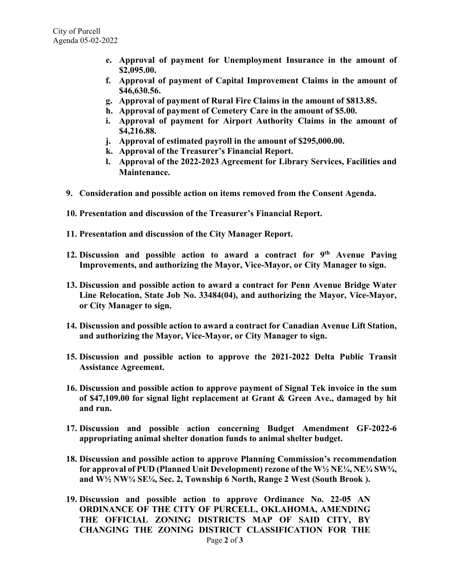- **e. Approval of payment for Unemployment Insurance in the amount of \$2,095.00.**
- **f. Approval of payment of Capital Improvement Claims in the amount of \$46,630.56.**
- **g. Approval of payment of Rural Fire Claims in the amount of \$813.85.**
- **h. Approval of payment of Cemetery Care in the amount of \$5.00.**
- **i. Approval of payment for Airport Authority Claims in the amount of \$4,216.88.**
- **j. Approval of estimated payroll in the amount of \$295,000.00.**
- **k. Approval of the Treasurer's Financial Report.**
- **l. Approval of the 2022-2023 Agreement for Library Services, Facilities and Maintenance.**
- **9. Consideration and possible action on items removed from the Consent Agenda.**
- **10. Presentation and discussion of the Treasurer's Financial Report.**
- **11. Presentation and discussion of the City Manager Report.**
- **12. Discussion and possible action to award a contract for 9th Avenue Paving Improvements, and authorizing the Mayor, Vice-Mayor, or City Manager to sign.**
- **13. Discussion and possible action to award a contract for Penn Avenue Bridge Water Line Relocation, State Job No. 33484(04), and authorizing the Mayor, Vice-Mayor, or City Manager to sign.**
- **14. Discussion and possible action to award a contract for Canadian Avenue Lift Station, and authorizing the Mayor, Vice-Mayor, or City Manager to sign.**
- **15. Discussion and possible action to approve the 2021-2022 Delta Public Transit Assistance Agreement.**
- **16. Discussion and possible action to approve payment of Signal Tek invoice in the sum of \$47,109.00 for signal light replacement at Grant & Green Ave., damaged by hit and run.**
- **17. Discussion and possible action concerning Budget Amendment GF-2022-6 appropriating animal shelter donation funds to animal shelter budget.**
- **18. Discussion and possible action to approve Planning Commission's recommendation for approval of PUD (Planned Unit Development) rezone of the W½ NE¼, NE¼ SW¼, and W½ NW¼ SE¼, Sec. 2, Township 6 North, Range 2 West (South Brook ).**
- **19. Discussion and possible action to approve Ordinance No. 22-05 AN ORDINANCE OF THE CITY OF PURCELL, OKLAHOMA, AMENDING THE OFFICIAL ZONING DISTRICTS MAP OF SAID CITY, BY CHANGING THE ZONING DISTRICT CLASSIFICATION FOR THE**